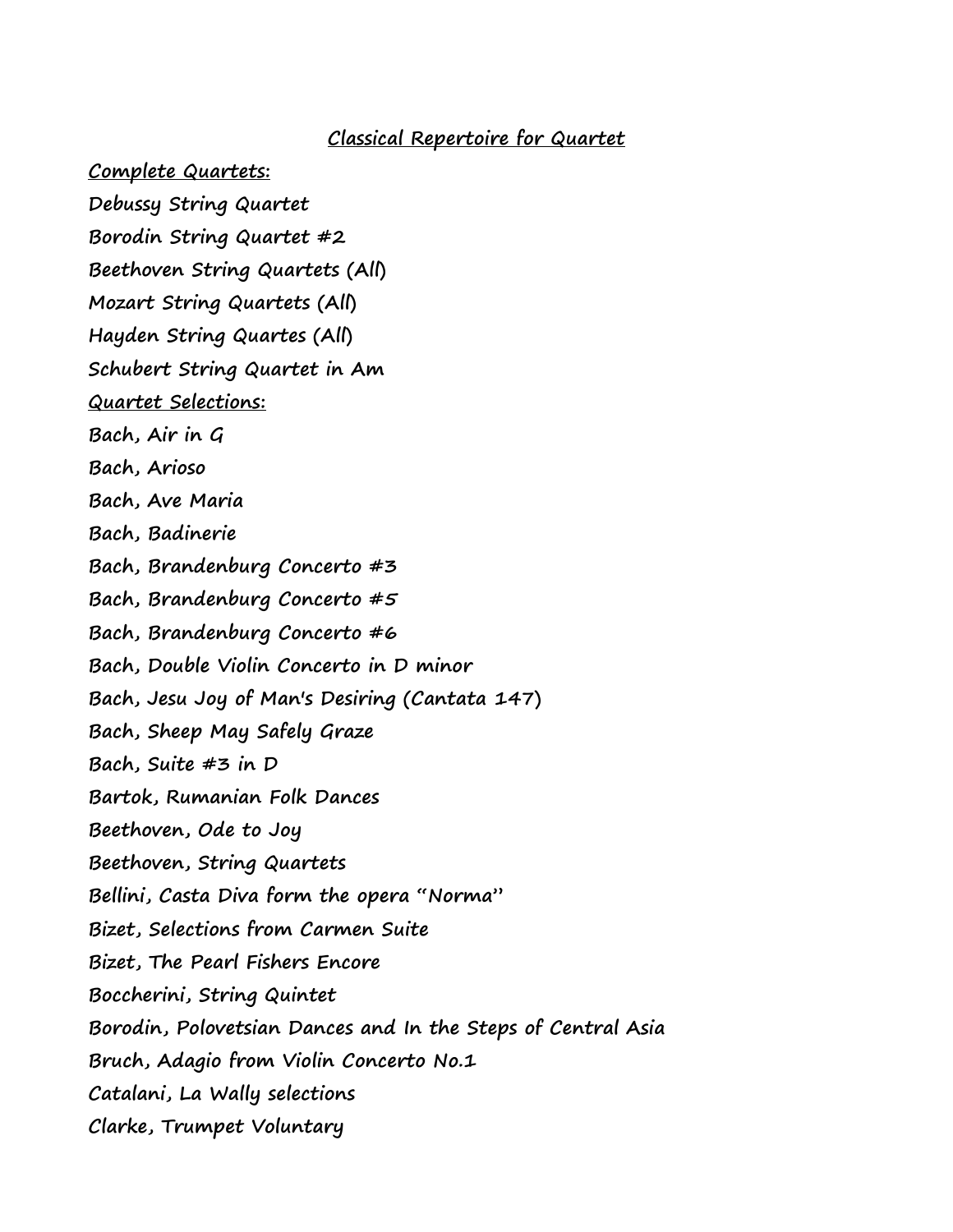## **Classical Repertoire for Quartet**

**Complete Quartets:**

- **Debussy String Quartet Borodin String Quartet #2 Beethoven String Quartets (All) Mozart String Quartets (All) Hayden String Quartes (All) Schubert String Quartet in Am Quartet Selections: Bach, Air in G Bach, Arioso Bach, Ave Maria Bach, Badinerie Bach, Brandenburg Concerto #3 Bach, Brandenburg Concerto #5 Bach, Brandenburg Concerto #6 Bach, Double Violin Concerto in D minor Bach, Jesu Joy of Man's Desiring (Cantata 147) Bach, Sheep May Safely Graze Bach, Suite #3 in D Bartok, Rumanian Folk Dances Beethoven, Ode to Joy Beethoven, String Quartets Bellini, Casta Diva form the opera "Norma" Bizet, Selections from Carmen Suite Bizet, The Pearl Fishers Encore Boccherini, String Quintet Borodin, Polovetsian Dances and In the Steps of Central Asia Bruch, Adagio from Violin Concerto No.1 Catalani, La Wally selections**
	- **Clarke, Trumpet Voluntary**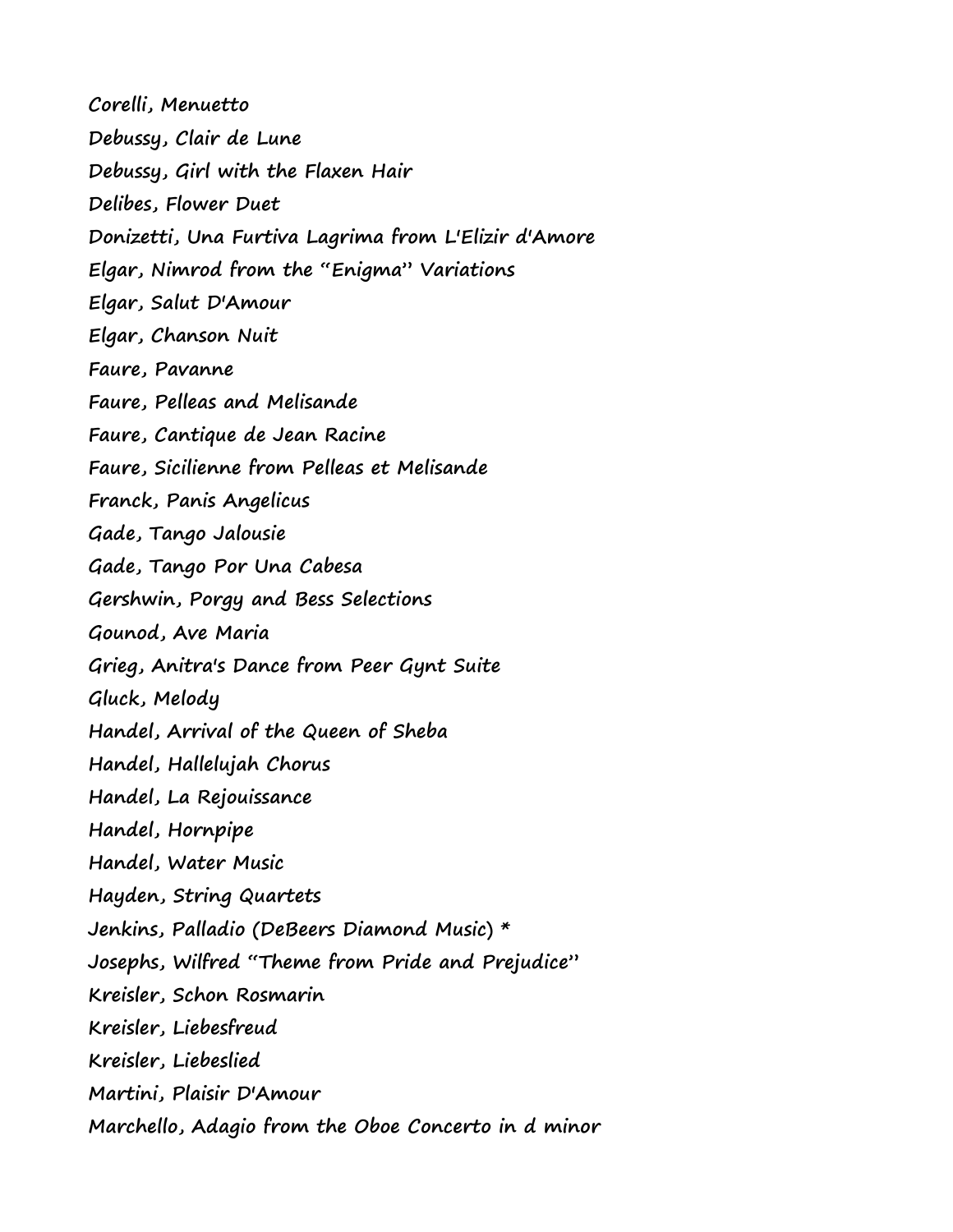**Corelli, Menuetto Debussy, Clair de Lune Debussy, Girl with the Flaxen Hair Delibes, Flower Duet Donizetti, Una Furtiva Lagrima from L'Elizir d'Amore Elgar, Nimrod from the "Enigma" Variations Elgar, Salut D'Amour Elgar, Chanson Nuit Faure, Pavanne Faure, Pelleas and Melisande Faure, Cantique de Jean Racine Faure, Sicilienne from Pelleas et Melisande Franck, Panis Angelicus Gade, Tango Jalousie Gade, Tango Por Una Cabesa Gershwin, Porgy and Bess Selections Gounod, Ave Maria Grieg, Anitra's Dance from Peer Gynt Suite Gluck, Melody Handel, Arrival of the Queen of Sheba Handel, Hallelujah Chorus Handel, La Rejouissance Handel, Hornpipe Handel, Water Music Hayden, String Quartets Jenkins, Palladio (DeBeers Diamond Music) \* Josephs, Wilfred "Theme from Pride and Prejudice" Kreisler, Schon Rosmarin Kreisler, Liebesfreud Kreisler, Liebeslied Martini, Plaisir D'Amour Marchello, Adagio from the Oboe Concerto in d minor**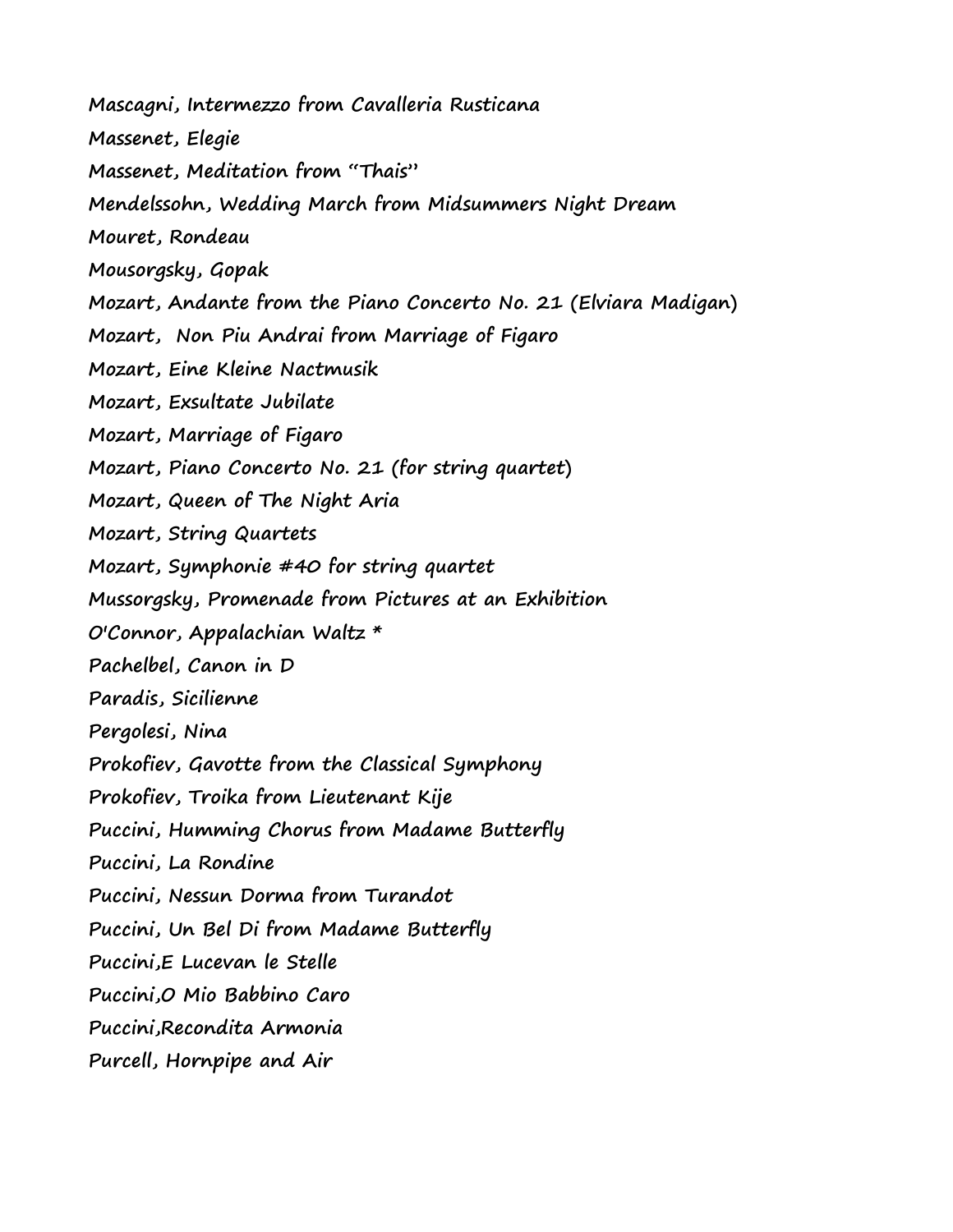**Mascagni, Intermezzo from Cavalleria Rusticana**

**Massenet, Elegie**

**Massenet, Meditation from "Thais"**

**Mendelssohn, Wedding March from Midsummers Night Dream**

**Mouret, Rondeau**

**Mousorgsky, Gopak**

**Mozart, Andante from the Piano Concerto No. 21 (Elviara Madigan)**

**Mozart, Non Piu Andrai from Marriage of Figaro**

**Mozart, Eine Kleine Nactmusik**

**Mozart, Exsultate Jubilate**

**Mozart, Marriage of Figaro**

**Mozart, Piano Concerto No. 21 (for string quartet)**

**Mozart, Queen of The Night Aria**

**Mozart, String Quartets**

**Mozart, Symphonie #40 for string quartet**

**Mussorgsky, Promenade from Pictures at an Exhibition**

**O'Connor, Appalachian Waltz \***

**Pachelbel, Canon in D**

**Paradis, Sicilienne**

**Pergolesi, Nina** 

**Prokofiev, Gavotte from the Classical Symphony**

**Prokofiev, Troika from Lieutenant Kije**

**Puccini, Humming Chorus from Madame Butterfly**

**Puccini, La Rondine**

**Puccini, Nessun Dorma from Turandot**

**Puccini, Un Bel Di from Madame Butterfly**

**Puccini,E Lucevan le Stelle**

**Puccini,O Mio Babbino Caro** 

**Puccini,Recondita Armonia**

**Purcell, Hornpipe and Air**